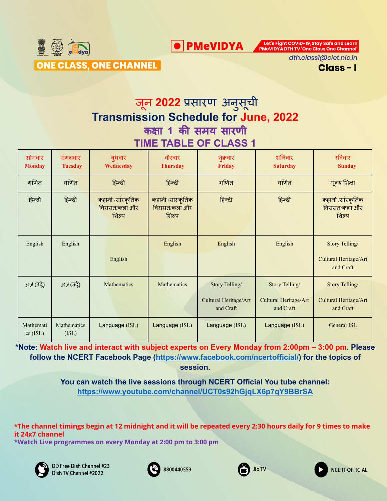

Let's Fight COVID-19, Stay Safe and Learn<br>PMeVIDYA DTH TV 'One Class One Channel'

dth.class1@ciet.nic.in

Class-I

## जून **2022** प्रसारण अनुसूची **Transmission Schedule for June, 2022** कक्षा **1** की समय सारणी **TIME TABLE OF CLASS 1**

**O** PMeVIDYA

| सोमवार<br><b>Monday</b> | मंगलवार<br><b>Tuesday</b>   | बुधवार<br>Wednesday                         | वीरवार<br><b>Thursday</b>                   | शुक्रवार<br>Friday                                   | शनिवार<br><b>Saturday</b>                            | रविवार<br><b>Sunday</b>                              |
|-------------------------|-----------------------------|---------------------------------------------|---------------------------------------------|------------------------------------------------------|------------------------------------------------------|------------------------------------------------------|
| गणित                    | गणित                        | हिन्दी                                      | हिन्दी                                      | गणित                                                 | गणित                                                 | मूल्य शिक्षा                                         |
| हिन्दी                  | हिन्दी                      | कहानी /सांस्कृतिक<br>विरासत/कला और<br>शिल्प | कहानी /सांस्कृतिक<br>विरासत/कला और<br>शिल्प | हिन्दी                                               | हिन्दी                                               | कहानी /सांस्कृतिक<br>विरासत/कला और<br>शिल्प          |
| English                 | English                     |                                             | English                                     | English                                              | English                                              | Story Telling/                                       |
|                         |                             | English                                     |                                             |                                                      |                                                      | Cultural Heritage/Art<br>and Craft                   |
| لۍ (35) اردو            | لي (35) اردو                | <b>Mathematics</b>                          | Mathematics                                 | Story Telling/<br>Cultural Heritage/Art<br>and Craft | Story Telling/<br>Cultural Heritage/Art<br>and Craft | Story Telling/<br>Cultural Heritage/Art<br>and Craft |
| Mathemati<br>$cs$ (ISL) | <b>Mathematics</b><br>(ISL) | Language (ISL)                              | Language (ISL)                              | Language (ISL)                                       | Language (ISL)                                       | General ISL                                          |

**\*Note: Watch live and interact with subject experts on Every Monday from 2:00pm – 3:00 pm. Please follow the NCERT Facebook Page [\(https://www.facebook.com/ncertofficial/\)](https://www.facebook.com/ncertofficial/) for the topics of session.**

> **You can watch the live sessions through NCERT Official You tube channel: <https://www.youtube.com/channel/UCT0s92hGjqLX6p7qY9BBrSA>**

**\*The channel timings begin at 12 midnight and it will be repeated every 2:30 hours daily for 9 times to make it 24x7 channel**

**\*Watch Live programmes on every Monday at 2:00 pm to 3:00 pm**



DD Free Dish Channel #23 Dish TV Channel #2022





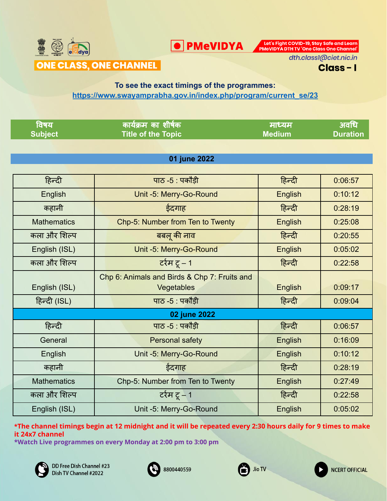

Let's Fight COVID-19, Stay Safe and Learn<br>PMeVIDYA DTH TV 'One Class One Channel'

dth.class1@ciet.nic.in

Class-I

#### **To see the exact timings of the programmes: [https://www.swayamprabha.gov.in/index.php/program/current\\_se/23](https://www.swayamprabha.gov.in/index.php/program/current_se/23)**

**O** PMeVIDYA

| विषय               | कार्यक्रम का शीर्षक                          | माध्यम        | अवधि            |
|--------------------|----------------------------------------------|---------------|-----------------|
| <b>Subject</b>     | <b>Title of the Topic</b>                    | <b>Medium</b> | <b>Duration</b> |
|                    |                                              |               |                 |
|                    | 01 june 2022                                 |               |                 |
|                    |                                              |               |                 |
| हिन्दी             | पाठ -5 : पकोड़ी                              | हिन्दी        | 0:06:57         |
| English            | Unit -5: Merry-Go-Round                      | English       | 0:10:12         |
| कहानी              | ईदगाह                                        | हिन्दी        | 0:28:19         |
| <b>Mathematics</b> | Chp-5: Number from Ten to Twenty             | English       | 0:25:08         |
| कला और शिल्प       | बबलू की नाव                                  | हिन्दी        | 0:20:55         |
| English (ISL)      | Unit -5: Merry-Go-Round                      | English       | 0:05:02         |
| कला और शिल्प       | टर्रम टू $-1$                                | हिन्दी        | 0:22:58         |
|                    | Chp 6: Animals and Birds & Chp 7: Fruits and |               |                 |
| English (ISL)      | Vegetables                                   | English       | 0:09:17         |
| हिन्दी (ISL)       | पाठ $-5$ : पकौड़ी                            | हिन्दी        | 0:09:04         |
|                    | 02 june 2022                                 |               |                 |
| हिन्दी             | पाठ $-5$ : पकौड़ी                            | हिन्दी        | 0:06:57         |
| General            | Personal safety                              | English       | 0:16:09         |
| English            | Unit -5: Merry-Go-Round                      | English       | 0:10:12         |
| कहानी              | ईदगाह                                        | हिन्दी        | 0:28:19         |
| <b>Mathematics</b> | Chp-5: Number from Ten to Twenty             | English       | 0:27:49         |
| कला और शिल्प       | टर्रम टू – 1                                 | हिन्दी        | 0:22:58         |
| English (ISL)      | Unit -5: Merry-Go-Round                      | English       | 0:05:02         |

**\*The channel timings begin at 12 midnight and it will be repeated every 2:30 hours daily for 9 times to make it 24x7 channel**







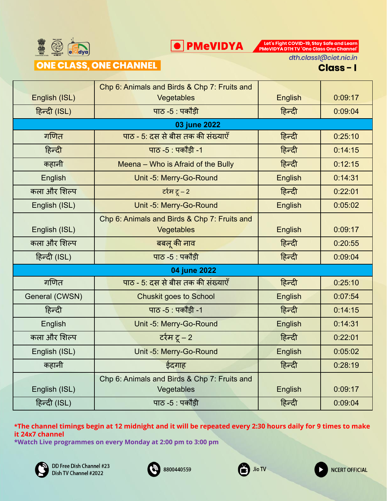

Let's Fight COVID-19, Stay Safe and Learn<br>PMeVIDYA DTH TV 'One Class One Channel'

### ONE CLASS, ONE CHANNEL

dth.class1@ciet.nic.in



|                | Chp 6: Animals and Birds & Chp 7: Fruits and |         |         |
|----------------|----------------------------------------------|---------|---------|
| English (ISL)  | Vegetables                                   | English | 0:09:17 |
| हिन्दी (ISL)   | पाठ $-5$ : पकौड़ी                            | हिन्दी  | 0:09:04 |
|                | 03 june 2022                                 |         |         |
| गणित           | पाठ - 5: दस से बीस तक की संख्याएँ            | हिन्दी  | 0:25:10 |
| हिन्दी         | पाठ -5 : पकौड़ी -1                           | हिन्दी  | 0:14:15 |
| कहानी          | Meena - Who is Afraid of the Bully           | हिन्दी  | 0:12:15 |
| English        | Unit -5: Merry-Go-Round                      | English | 0:14:31 |
| कला और शिल्प   | र्टरम टू – 2                                 | हिन्दी  | 0:22:01 |
| English (ISL)  | Unit -5: Merry-Go-Round                      | English | 0:05:02 |
|                | Chp 6: Animals and Birds & Chp 7: Fruits and |         |         |
| English (ISL)  | Vegetables                                   | English | 0:09:17 |
| कला और शिल्प   | बबलू की नाव                                  | हिन्दी  | 0:20:55 |
| हिन्दी (ISL)   | पाठ -5 : पकौड़ी                              | हिन्दी  | 0:09:04 |
|                | 04 june 2022                                 |         |         |
| गणित           | पाठ - 5: दस से बीस तक की संख्याएँ            | हिन्दी  | 0:25:10 |
| General (CWSN) | <b>Chuskit goes to School</b>                | English | 0:07:54 |
| हिन्दी         | पाठ -5 : पकौड़ी -1                           | हिन्दी  | 0:14:15 |
| English        | Unit -5: Merry-Go-Round                      | English | 0:14:31 |
| कला और शिल्प   | र्टरम टू – 2                                 | हिन्दी  | 0:22:01 |
| English (ISL)  | Unit -5: Merry-Go-Round                      | English | 0:05:02 |
| कहानी          | ईदगाह                                        | हिन्दी  | 0:28:19 |
|                | Chp 6: Animals and Birds & Chp 7: Fruits and |         |         |
| English (ISL)  | Vegetables                                   | English | 0:09:17 |
| हिन्दी (ISL)   | पाठ -5 : पकौड़ी                              | हिन्दी  | 0:09:04 |

**\*The channel timings begin at 12 midnight and it will be repeated every 2:30 hours daily for 9 times to make it 24x7 channel**







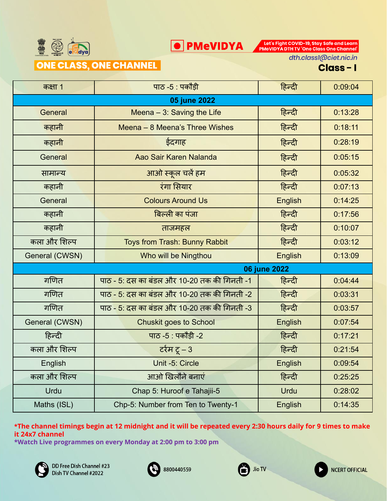

Let's Fight COVID-19, Stay Safe and Learn<br>PMeVIDYA DTH TV 'One Class One Channel'

#### ONE CLASS, ONE CHANNEL

dth.class1@ciet.nic.in

Class-I

**NCERT OFFICIAL** 

| कक्षा 1        | पाठ -5 : पकोड़ी                             | हिन्दी         | 0:09:04 |  |  |
|----------------|---------------------------------------------|----------------|---------|--|--|
| 05 june 2022   |                                             |                |         |  |  |
| General        | Meena $-3$ : Saving the Life                | हिन्दी         | 0:13:28 |  |  |
| कहानी          | Meena - 8 Meena's Three Wishes              | हिन्दी         | 0:18:11 |  |  |
| कहानी          | ईदगाह                                       | हिन्दी         | 0:28:19 |  |  |
| General        | Aao Sair Karen Nalanda                      | हिन्दी         | 0:05:15 |  |  |
| सामान्य        | आओ स्कूल चलें हम                            | हिन्दी         | 0:05:32 |  |  |
| कहानी          | रंगा सियार                                  | हिन्दी         | 0:07:13 |  |  |
| General        | <b>Colours Around Us</b>                    | <b>English</b> | 0:14:25 |  |  |
| कहानी          | बिल्ली का पंजा                              | हिन्दी         | 0:17:56 |  |  |
| कहानी          | ताजमहल                                      | हिन्दी         | 0:10:07 |  |  |
| कला और शिल्प   | Toys from Trash: Bunny Rabbit               | हिन्दी         | 0:03:12 |  |  |
| General (CWSN) | Who will be Ningthou                        | English        | 0:13:09 |  |  |
|                | 06 june 2022                                |                |         |  |  |
| गणित           | पाठ - 5: दस का बंडल और 10-20 तक की गिनती -1 | हिन्दी         | 0:04:44 |  |  |
| गणित           | पाठ - 5: दस का बंडल और 10-20 तक की गिनती -2 | हिन्दी         | 0:03:31 |  |  |
| गणित           | पाठ - 5: दस का बंडल और 10-20 तक की गिनती -3 | हिन्दी         | 0:03:57 |  |  |
| General (CWSN) | <b>Chuskit goes to School</b>               | English        | 0:07:54 |  |  |
| हिन्दी         | पाठ -5 : पकौड़ी -2                          | हिन्दी         | 0:17:21 |  |  |
| कला और शिल्प   | र्टरम टू – 3                                | हिन्दी         | 0:21:54 |  |  |
| English        | Unit -5: Circle                             | English        | 0:09:54 |  |  |
| कला और शिल्प   | आओ खिलौने बनाएं                             | हिन्दी         | 0:25:25 |  |  |
| Urdu           | Chap 5: Huroof e Tahajii-5                  | <b>Urdu</b>    | 0:28:02 |  |  |
| Maths (ISL)    | Chp-5: Number from Ten to Twenty-1          | English        | 0:14:35 |  |  |

**\*The channel timings begin at 12 midnight and it will be repeated every 2:30 hours daily for 9 times to make it 24x7 channel**





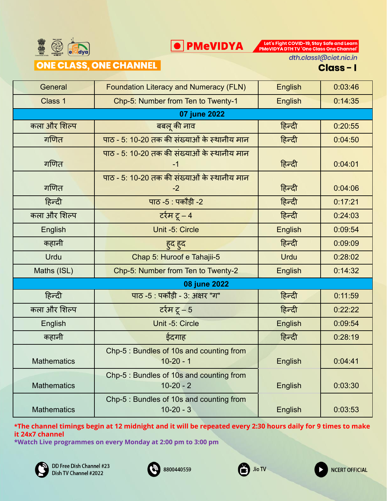

Let's Fight COVID-19, Stay Safe and Learn<br>PMeVIDYA DTH TV 'One Class One Channel'

### **ONE CLASS, ONE CHANNEL**

dth.class1@ciet.nic.in

Class-I

| General            | <b>Foundation Literacy and Numeracy (FLN)</b>           | <b>English</b> | 0:03:46 |
|--------------------|---------------------------------------------------------|----------------|---------|
| Class 1            | Chp-5: Number from Ten to Twenty-1                      | <b>English</b> | 0:14:35 |
|                    | 07 june 2022                                            |                |         |
| कला और शिल्प       | बबलू की नाव                                             | हिन्दी         | 0:20:55 |
| गणित               | पाठ - 5: 10-20 तक की संख्याओं के स्थानीय मान            | हिन्दी         | 0:04:50 |
| गणित               | पाठ - 5: 10-20 तक की संख्याओं के स्थानीय मान<br>$-1$    | हिन्दी         | 0:04:01 |
| गणित               | पाठ - 5: 10-20 तक की संख्याओं के स्थानीय मान<br>$-2$    | हिन्दी         | 0:04:06 |
| हिन्दी             | पाठ -5 : पकौड़ी -2                                      | हिन्दी         | 0:17:21 |
| कला और शिल्प       | टर्रम टू – 4                                            | हिन्दी         | 0:24:03 |
| English            | Unit -5: Circle                                         | English        | 0:09:54 |
| कहानी              | हुद हुद                                                 | हिन्दी         | 0:09:09 |
| Urdu               | Chap 5: Huroof e Tahajii-5                              | Urdu           | 0:28:02 |
| Maths (ISL)        | Chp-5: Number from Ten to Twenty-2                      | English        | 0:14:32 |
|                    | 08 june 2022                                            |                |         |
| हिन्दी             | पाठ -5 : पकौड़ी - 3: अक्षर "ग"                          | हिन्दी         | 0:11:59 |
| कला और शिल्प       | टर्रम टू – 5                                            | हिन्दी         | 0:22:22 |
| English            | Unit -5: Circle                                         | <b>English</b> | 0:09:54 |
| कहानी              | ईदगाह                                                   | हिन्दी         | 0:28:19 |
| <b>Mathematics</b> | Chp-5 : Bundles of 10s and counting from<br>$10-20 - 1$ | English        | 0:04:41 |
| <b>Mathematics</b> | Chp-5 : Bundles of 10s and counting from<br>$10-20 - 2$ | English        | 0:03:30 |
| <b>Mathematics</b> | Chp-5 : Bundles of 10s and counting from<br>$10-20 - 3$ | English        | 0:03:53 |

**\*The channel timings begin at 12 midnight and it will be repeated every 2:30 hours daily for 9 times to make it 24x7 channel**







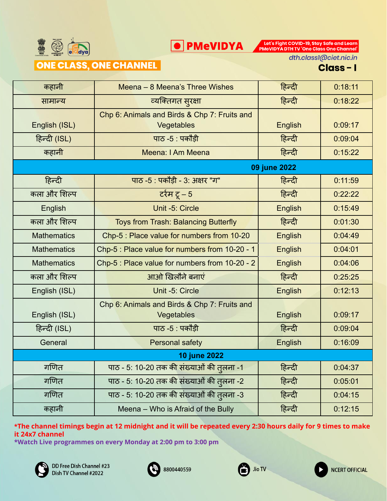

Let's Fight COVID-19, Stay Safe and Learn<br>PMeVIDYA DTH TV 'One Class One Channel'

### ONE CLASS, ONE CHANNEL

dth.class1@ciet.nic.in

Class-I

**NCERT OFFICIAL** 

| कहानी              | Meena - 8 Meena's Three Wishes                             | हिन्दी         | 0:18:11 |  |  |
|--------------------|------------------------------------------------------------|----------------|---------|--|--|
| सामान्य            | व्यक्तिगत सुरक्षा                                          | हिन्दी         | 0:18:22 |  |  |
| English (ISL)      | Chp 6: Animals and Birds & Chp 7: Fruits and<br>Vegetables | <b>English</b> | 0:09:17 |  |  |
| हिन्दी (ISL)       | पाठ - $5:$ पकौड़ी                                          | हिन्दी         | 0:09:04 |  |  |
| कहानी              | Meena: I Am Meena                                          | हिन्दी         | 0:15:22 |  |  |
|                    |                                                            | 09 june 2022   |         |  |  |
| हिन्दी             | पाठ -5 : पकौड़ी - 3: अक्षर "ग"                             | हिन्दी         | 0:11:59 |  |  |
| कला और शिल्प       | टर्रम टू – 5                                               | हिन्दी         | 0:22:22 |  |  |
| English            | Unit -5: Circle                                            | English        | 0:15:49 |  |  |
| कला और शिल्प       | Toys from Trash: Balancing Butterfly                       | हिन्दी         | 0:01:30 |  |  |
| <b>Mathematics</b> | Chp-5 : Place value for numbers from 10-20                 | <b>English</b> | 0:04:49 |  |  |
| <b>Mathematics</b> | Chp-5 : Place value for numbers from 10-20 - 1             | English        | 0:04:01 |  |  |
| <b>Mathematics</b> | Chp-5 : Place value for numbers from 10-20 - 2             | <b>English</b> | 0:04:06 |  |  |
| कला और शिल्प       | आओ खिलौने बनाएं                                            | हिन्दी         | 0:25:25 |  |  |
| English (ISL)      | Unit -5: Circle                                            | English        | 0:12:13 |  |  |
| English (ISL)      | Chp 6: Animals and Birds & Chp 7: Fruits and<br>Vegetables | <b>English</b> | 0:09:17 |  |  |
| हिन्दी (ISL)       | पाठ -5 : पकौड़ी                                            | हिन्दी         | 0:09:04 |  |  |
| General            | <b>Personal safety</b>                                     | <b>English</b> | 0:16:09 |  |  |
| 10 june 2022       |                                                            |                |         |  |  |
| गणित               | पाठ - 5: 10-20 तक की संख्याओं की तुलना -1                  | हिन्दी         | 0:04:37 |  |  |
| गणित               | पाठ - 5: 10-20 तक की संख्याओं की तुलना -2                  | हिन्दी         | 0:05:01 |  |  |
| गणित               | पाठ - 5: 10-20 तक की संख्याओं की तुलना -3                  | हिन्दी         | 0:04:15 |  |  |
| कहानी              | Meena - Who is Afraid of the Bully                         | हिन्दी         | 0:12:15 |  |  |

**\*The channel timings begin at 12 midnight and it will be repeated every 2:30 hours daily for 9 times to make it 24x7 channel**





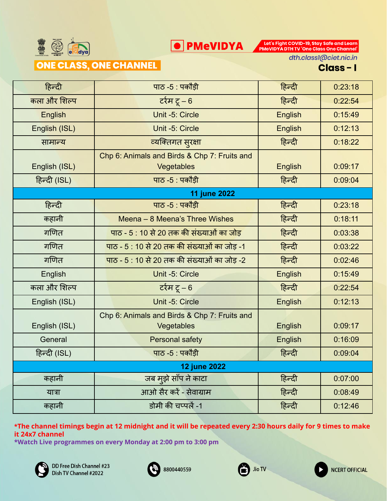

#### **ONE CLASS, ONE CHANNEL**

Let's Fight COVID-19, Stay Safe and Learn<br>PMeVIDYA DTH TV 'One Class One Channel'

dth.class1@ciet.nic.in

| हिन्दी              | पाठ -5 : पकौड़ी                                            | हिन्दी         | 0:23:18 |  |  |
|---------------------|------------------------------------------------------------|----------------|---------|--|--|
| कला और शिल्प        | टर्रम टू – 6                                               | हिन्दी         | 0:22:54 |  |  |
| English             | Unit -5: Circle                                            | <b>English</b> | 0:15:49 |  |  |
| English (ISL)       | Unit -5: Circle                                            | <b>English</b> | 0:12:13 |  |  |
| सामान्य             | व्यक्तिगत सुरक्षा                                          | हिन्दी         | 0:18:22 |  |  |
| English (ISL)       | Chp 6: Animals and Birds & Chp 7: Fruits and<br>Vegetables | <b>English</b> | 0:09:17 |  |  |
| हिन्दी (ISL)        | पाठ - $5:$ पकौड़ी                                          | हिन्दी         | 0:09:04 |  |  |
|                     | 11 june 2022                                               |                |         |  |  |
| हिन्दी              | पाठ -5 : पकौड़ी                                            | हिन्दी         | 0:23:18 |  |  |
| कहानी               | Meena - 8 Meena's Three Wishes                             | हिन्दी         | 0:18:11 |  |  |
| गणित                | पाठ - 5 : 10 से 20 तक की संख्याओं का जोड़                  | हिन्दी         | 0:03:38 |  |  |
| गणित                | पाठ - 5 : 10 से 20 तक की संख्याओं का जोड़ -1               | हिन्दी         | 0:03:22 |  |  |
| गणित                | पाठ - 5 : 10 से 20 तक की संख्याओं का जोड़ -2               | हिन्दी         | 0:02:46 |  |  |
| English             | Unit -5: Circle                                            | <b>English</b> | 0:15:49 |  |  |
| कला और शिल्प        | र्टरम टू – 6                                               | हिन्दी         | 0:22:54 |  |  |
| English (ISL)       | Unit -5: Circle                                            | English        | 0:12:13 |  |  |
| English (ISL)       | Chp 6: Animals and Birds & Chp 7: Fruits and<br>Vegetables | <b>English</b> | 0:09:17 |  |  |
| General             | Personal safety                                            | English        | 0:16:09 |  |  |
| हिन्दी (ISL)        | पाठ -5 : पकोड़ी                                            | हिन्दी         | 0:09:04 |  |  |
| <b>12 june 2022</b> |                                                            |                |         |  |  |
| कहानी               | जब मुझे साँप ने काटा                                       | हिन्दी         | 0:07:00 |  |  |
| यात्रा              | आओ सैर करें - सेवाग्राम                                    | हिन्दी         | 0:08:49 |  |  |
| कहानी               | डोमी की चप्पलें -1                                         | हिन्दी         | 0:12:46 |  |  |

**O** PMeVIDYA

**\*The channel timings begin at 12 midnight and it will be repeated every 2:30 hours daily for 9 times to make it 24x7 channel**







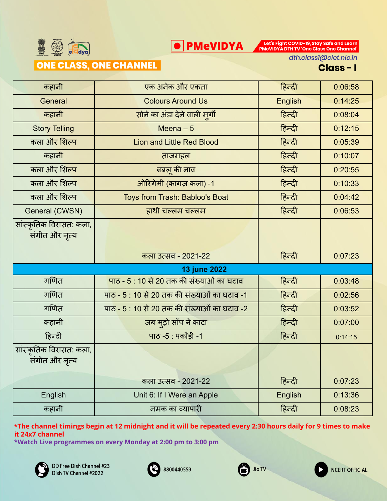

Let's Fight COVID-19, Stay Safe and Learn<br>PMeVIDYA DTH TV 'One Class One Channel'

### ONE CLASS, ONE CHANNEL

dth.class1@ciet.nic.in

Class-I

**NCERT OFFICIAL** 

| कहानी                                     | एक अनेक और एकता                                      | हिन्दी         | 0:06:58 |
|-------------------------------------------|------------------------------------------------------|----------------|---------|
| General                                   | <b>Colours Around Us</b>                             | <b>English</b> | 0:14:25 |
| कहानी                                     | सोने का अंडा देने वाली मुर्गी                        | हिन्दी         | 0:08:04 |
| <b>Story Telling</b>                      | Meena $-5$                                           | हिन्दी         | 0:12:15 |
| कला और शिल्प                              | <b>Lion and Little Red Blood</b>                     | हिन्दी         | 0:05:39 |
| कहानी                                     | ताजमहल                                               | हिन्दी         | 0:10:07 |
| कला और शिल्प                              | बबलू की नाव                                          | हिन्दी         | 0:20:55 |
| कला और शिल्प                              | ओरिगेमी (कागज़ कला) -1                               | हिन्दी         | 0:10:33 |
| कला और शिल्प                              | Toys from Trash: Babloo's Boat                       | हिन्दी         | 0:04:42 |
| General (CWSN)                            | हाथी चल्लम चल्लम                                     | हिन्दी         | 0:06:53 |
| सांस्कृतिक विरासत: कला,<br>संगीत और नृत्य |                                                      |                |         |
|                                           |                                                      |                |         |
|                                           | कला उत्सव - 2021-22                                  | हिन्दी         | 0:07:23 |
|                                           | 13 june 2022                                         |                |         |
| गणित                                      | पाठ - 5 : 10 से 20 तक की संख्याओं का घटाव            | हिन्दी         | 0:03:48 |
| गणित                                      | पाठ - 5 : 10 से 20 तक की संख्याओं का घटाव -1         | हिन्दी         | 0:02:56 |
| गणित                                      | <u> पाठ - 5 : 10 से 20 तक की संख्याओं का घटाव -2</u> | हिन्दी         | 0:03:52 |
| कहानी                                     | जब मुझे साँप ने काटा                                 | हिन्दी         | 0:07:00 |
| हिन्दी                                    | पाठ -5 : पकौड़ी -1                                   | हिन्दी         | 0:14:15 |
| सांस्कृतिक विरासत: कला,<br>संगीत और नृत्य |                                                      |                |         |
|                                           | कला उत्सव - 2021-22                                  | हिन्दी         | 0:07:23 |
| English                                   | Unit 6: If I Were an Apple                           | English        | 0:13:36 |

**\*The channel timings begin at 12 midnight and it will be repeated every 2:30 hours daily for 9 times to make it 24x7 channel**





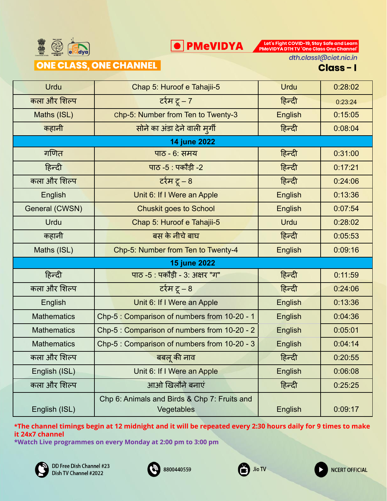

Let's Fight COVID-19, Stay Safe and Learn<br>PMeVIDYA DTH TV 'One Class One Channel'

### ONE CLASS, ONE CHANNEL

dth.class1@ciet.nic.in

#### Class-I

| Urdu               | Chap 5: Huroof e Tahajii-5                                 | <b>Urdu</b>    | 0:28:02 |
|--------------------|------------------------------------------------------------|----------------|---------|
| कला और शिल्प       | टर्रम टू – 7                                               | हिन्दी         | 0:23:24 |
| Maths (ISL)        | chp-5: Number from Ten to Twenty-3                         | <b>English</b> | 0:15:05 |
| कहानी              | सोने का अंडा देने वाली मुर्गी                              | हिन्दी         | 0:08:04 |
|                    | <b>14 june 2022</b>                                        |                |         |
| गणित               | पाठ - 6: समय                                               | हिन्दी         | 0:31:00 |
| हिन्दी             | पाठ -5 : पकौड़ी -2                                         | हिन्दी         | 0:17:21 |
| कला और शिल्प       | टर्रम टू – 8                                               | हिन्दी         | 0:24:06 |
| English            | Unit 6: If I Were an Apple                                 | English        | 0:13:36 |
| General (CWSN)     | <b>Chuskit goes to School</b>                              | <b>English</b> | 0:07:54 |
| Urdu               | Chap 5: Huroof e Tahajii-5                                 | Urdu           | 0:28:02 |
| कहानी              | बस के नीचे बाघ                                             | हिन्दी         | 0:05:53 |
| Maths (ISL)        | Chp-5: Number from Ten to Twenty-4                         | English        | 0:09:16 |
|                    | <b>15 june 2022</b>                                        |                |         |
| हिन्दी             | पाठ -5 : पकौड़ी - 3: अक्षर "ग"                             | हिन्दी         | 0:11:59 |
| कला और शिल्प       | र्टरम टू – 8                                               | हिन्दी         | 0:24:06 |
| English            | Unit 6: If I Were an Apple                                 | English        | 0:13:36 |
| <b>Mathematics</b> | Chp-5: Comparison of numbers from 10-20 - 1                | English        | 0:04:36 |
| <b>Mathematics</b> | Chp-5 : Comparison of numbers from 10-20 - 2               | English        | 0:05:01 |
| <b>Mathematics</b> | Chp-5 : Comparison of numbers from 10-20 - 3               | English        | 0:04:14 |
| कला और शिल्प       | बबलू की नाव                                                | हिन्दी         | 0:20:55 |
| English (ISL)      | Unit 6: If I Were an Apple                                 | English        | 0:06:08 |
| कला और शिल्प       | आओ खिलौने बनाएं                                            | हिन्दी         | 0:25:25 |
| English (ISL)      | Chp 6: Animals and Birds & Chp 7: Fruits and<br>Vegetables | English        | 0:09:17 |

**\*The channel timings begin at 12 midnight and it will be repeated every 2:30 hours daily for 9 times to make it 24x7 channel**







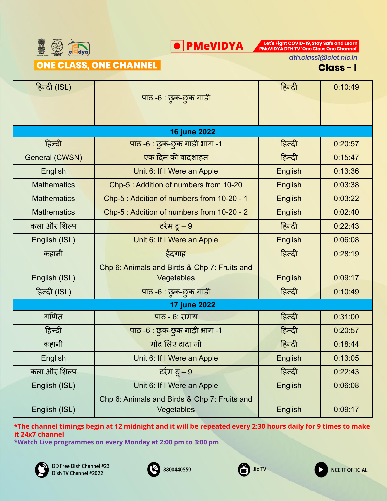

Let's Fight COVID-19, Stay Safe and Learn<br>PMeVIDYA DTH TV 'One Class One Channel'

ONE CLASS, ONE CHANNEL

dth.class1@ciet.nic.in

Class-I

| हिन्दी (ISL)       | पाठ -6 : छुक-छुक गाड़ी                                     | हिन्दी         | 0:10:49 |
|--------------------|------------------------------------------------------------|----------------|---------|
|                    |                                                            |                |         |
|                    | 16 june 2022                                               |                |         |
| हिन्दी             | पाठ -6 : छुक-छुक गाड़ी भाग -1                              | हिन्दी         | 0:20:57 |
| General (CWSN)     | एक दिन की बादशाहत                                          | हिन्दी         | 0:15:47 |
| <b>English</b>     | Unit 6: If I Were an Apple                                 | <b>English</b> | 0:13:36 |
| <b>Mathematics</b> | Chp-5 : Addition of numbers from 10-20                     | English        | 0:03:38 |
| <b>Mathematics</b> | Chp-5 : Addition of numbers from 10-20 - 1                 | <b>English</b> | 0:03:22 |
| <b>Mathematics</b> | Chp-5 : Addition of numbers from 10-20 - 2                 | English        | 0:02:40 |
| कला और शिल्प       | र्टरम टू – 9                                               | हिन्दी         | 0:22:43 |
| English (ISL)      | Unit 6: If I Were an Apple                                 | <b>English</b> | 0:06:08 |
| कहानी              | ईदगाह                                                      | हिन्दी         | 0:28:19 |
|                    | Chp 6: Animals and Birds & Chp 7: Fruits and               |                |         |
| English (ISL)      | Vegetables                                                 | <b>English</b> | 0:09:17 |
| हिन्दी (ISL)       | पाठ -6 : छुक-छुक गाड़ी                                     | हिन्दी         | 0:10:49 |
|                    | <b>17 june 2022</b>                                        |                |         |
| गणित               | पाठ - 6: समय                                               | हिन्दी         | 0:31:00 |
| हिन्दी             | पाठ -6 : छुक-छुक गाड़ी भाग -1                              | हिन्दी         | 0:20:57 |
| कहानी              | गोद लिए दादा जी                                            | हिन्दी         | 0:18:44 |
| English            | Unit 6: If I Were an Apple                                 | English        | 0:13:05 |
| कला और शिल्प       | टर्रम टू – 9                                               | हिन्दी         | 0:22:43 |
| English (ISL)      | Unit 6: If I Were an Apple                                 | English        | 0:06:08 |
| English (ISL)      | Chp 6: Animals and Birds & Chp 7: Fruits and<br>Vegetables | English        | 0:09:17 |

**\*The channel timings begin at 12 midnight and it will be repeated every 2:30 hours daily for 9 times to make it 24x7 channel**







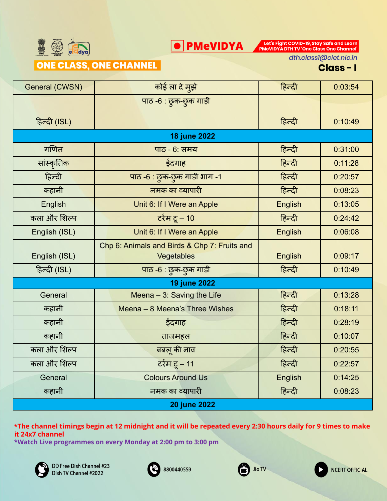

Let's Fight COVID-19, Stay Safe and Learn<br>PMeVIDYA DTH TV 'One Class One Channel'

ONE CLASS, ONE CHANNEL

dth.class1@ciet.nic.in

Class-I

| General (CWSN)      | कोई ला दे मुझे                                             | हिन्दी  | 0:03:54 |  |
|---------------------|------------------------------------------------------------|---------|---------|--|
|                     | पाठ -6 : छुक-छुक गाड़ी                                     |         |         |  |
| हिन्दी (ISL)        |                                                            | हिन्दी  | 0:10:49 |  |
|                     | <b>18 june 2022</b>                                        |         |         |  |
| गणित                | पाठ - 6: समय                                               | हिन्दी  | 0:31:00 |  |
| सांस्कृतिक          | ईदगाह                                                      | हिन्दी  | 0:11:28 |  |
| हिन्दी              | पाठ -6 : छुक-छुक गाड़ी भाग -1                              | हिन्दी  | 0:20:57 |  |
| कहानी               | नमक का व्यापारी                                            | हिन्दी  | 0:08:23 |  |
| English             | Unit 6: If I Were an Apple                                 | English | 0:13:05 |  |
| कला और शिल्प        | र्टरम टू – 10                                              | हिन्दी  | 0:24:42 |  |
| English (ISL)       | Unit 6: If I Were an Apple                                 | English | 0:06:08 |  |
| English (ISL)       | Chp 6: Animals and Birds & Chp 7: Fruits and<br>Vegetables | English | 0:09:17 |  |
| हिन्दी (ISL)        | पाठ -6 : छुक-छुक गाड़ी                                     | हिन्दी  | 0:10:49 |  |
|                     | <b>19 june 2022</b>                                        |         |         |  |
| General             | Meena - 3: Saving the Life                                 | हिन्दी  | 0:13:28 |  |
| कहानी               | Meena - 8 Meena's Three Wishes                             | हिन्दी  | 0:18:11 |  |
| कहानी               | ईदगाह                                                      | हिन्दी  | 0:28:19 |  |
| कहानी               | ताजमहल                                                     | हिन्दी  | 0:10:07 |  |
| कला और शिल्प        | बबलू की नाव                                                | हिन्दी  | 0:20:55 |  |
| कला और शिल्प        | <u> टर्रम टू – 11</u>                                      | हिन्दी  | 0:22:57 |  |
| General             | <b>Colours Around Us</b>                                   | English | 0:14:25 |  |
| कहानी               | नमक का व्यापारी                                            | हिन्दी  | 0:08:23 |  |
| <b>20 june 2022</b> |                                                            |         |         |  |

**\*The channel timings begin at 12 midnight and it will be repeated every 2:30 hours daily for 9 times to make it 24x7 channel**







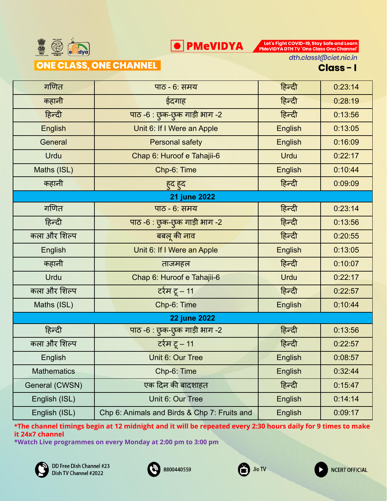

Let's Fight COVID-19, Stay Safe and Learn<br>PMeVIDYA DTH TV 'One Class One Channel'

ONE CLASS, ONE CHANNEL

dth.class1@ciet.nic.in

Class-I

| गणित               | पाठ - 6: समय                                 | हिन्दी         | 0:23:14 |
|--------------------|----------------------------------------------|----------------|---------|
| कहानी              | ईदगाह                                        | हिन्दी         | 0:28:19 |
| हिन्दी             | पाठ -6 : छुक-छुक गाड़ी भाग -2                | हिन्दी         | 0:13:56 |
| <b>English</b>     | Unit 6: If I Were an Apple                   | <b>English</b> | 0:13:05 |
| General            | Personal safety                              | <b>English</b> | 0:16:09 |
| <b>Urdu</b>        | Chap 6: Huroof e Tahajii-6                   | <b>Urdu</b>    | 0:22:17 |
| Maths (ISL)        | Chp-6: Time                                  | <b>English</b> | 0:10:44 |
| कहानी              | हुद हुद                                      | हिन्दी         | 0:09:09 |
|                    | <b>21 june 2022</b>                          |                |         |
| गणित               | पाठ - 6: समय                                 | हिन्दी         | 0:23:14 |
| हिन्दी             | पाठ -6 : छुक-छुक गाड़ी भाग -2                | हिन्दी         | 0:13:56 |
| कला और शिल्प       | बबलू की नाव                                  | हिन्दी         | 0:20:55 |
| English            | Unit 6: If I Were an Apple                   | <b>English</b> | 0:13:05 |
| कहानी              | ताजमहल                                       | हिन्दी         | 0:10:07 |
| Urdu               | Chap 6: Huroof e Tahajii-6                   | <b>Urdu</b>    | 0:22:17 |
| कला और शिल्प       | टर्रम टू – 11                                | हिन्दी         | 0:22:57 |
| Maths (ISL)        | Chp-6: Time                                  | <b>English</b> | 0:10:44 |
|                    | <b>22 june 2022</b>                          |                |         |
| हिन्दी             | पाठ -6 : छुक-छुक गाड़ी भाग -2                | हिन्दी         | 0:13:56 |
| कला और शिल्प       | टर्रम टू – 11                                | हिन्दी         | 0:22:57 |
| English            | Unit 6: Our Tree                             | English        | 0:08:57 |
| <b>Mathematics</b> | Chp-6: Time                                  | English        | 0:32:44 |
| General (CWSN)     | एक दिन की बादशाहत                            | हिन्दी         | 0:15:47 |
| English (ISL)      | Unit 6: Our Tree                             | <b>English</b> | 0:14:14 |
| English (ISL)      | Chp 6: Animals and Birds & Chp 7: Fruits and | English        | 0:09:17 |

**\*The channel timings begin at 12 midnight and it will be repeated every 2:30 hours daily for 9 times to make it 24x7 channel**





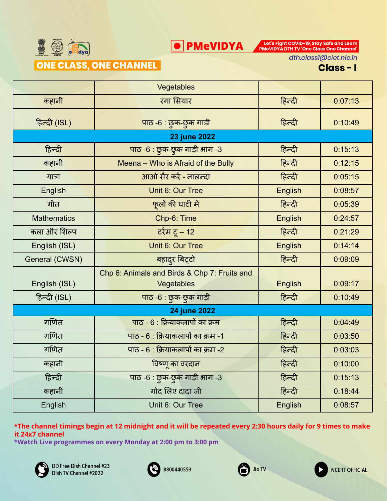

Let's Fight COVID-19, Stay Safe and Learn<br>PMeVIDYA DTH TV 'One Class One Channel'

ONE CLASS, ONE CHANNEL

dth.class1@ciet.nic.in

Class-I

**NCERT OFFICIAL** 

|                    | Vegetables                                   |                |         |
|--------------------|----------------------------------------------|----------------|---------|
| कहानी              | रंगा सियार                                   | हिन्दी         | 0:07:13 |
| हिन्दी (ISL)       | पाठ -6 : छुक-छुक गाड़ी                       | हिन्दी         | 0:10:49 |
|                    | <b>23 june 2022</b>                          |                |         |
| हिन्दी             | पाठ -6 : छुक-छुक गाड़ी भाग -3                | हिन्दी         | 0:15:13 |
| कहानी              | Meena - Who is Afraid of the Bully           | हिन्दी         | 0:12:15 |
| यात्रा             | आओ सैर करें - नालन्दा                        | हिन्दी         | 0:05:15 |
| English            | Unit 6: Our Tree                             | <b>English</b> | 0:08:57 |
| गीत                | फूलों की घाटी में                            | हिन्दी         | 0:05:39 |
| <b>Mathematics</b> | Chp-6: Time                                  | English        | 0:24:57 |
| कला और शिल्प       | <u>र्टरम टू – 12</u>                         | हिन्दी         | 0:21:29 |
| English (ISL)      | Unit 6: Our Tree                             | <b>English</b> | 0:14:14 |
| General (CWSN)     | बहादुर बिट्टो                                | हिन्दी         | 0:09:09 |
|                    | Chp 6: Animals and Birds & Chp 7: Fruits and |                |         |
| English (ISL)      | Vegetables                                   | English        | 0:09:17 |
| हिन्दी (ISL)       | पाठ -6 : छुक-छुक गाड़ी                       | हिन्दी         | 0:10:49 |
|                    | <b>24 june 2022</b>                          |                |         |
| गणित               | पाठ - 6 : क्रियाकलापों का क्रम               | हिन्दी         | 0:04:49 |
| गणित               | पाठ - 6 : क्रियाकलापों का क्रम -1            | हिन्दी         | 0:03:50 |
| गणित               | पाठ - 6 : क्रियाकलापों का क्रम -2            | हिन्दी         | 0:03:03 |
| कहानी              | विष्णू का वरदान                              | हिन्दी         | 0:10:00 |
| हिन्दी             | पाठ -6 : छुक-छुक गाड़ी भाग -3                | हिन्दी         | 0:15:13 |
| कहानी              | गोद लिए दादा जी                              | हिन्दी         | 0:18:44 |
| English            | Unit 6: Our Tree                             | <b>English</b> | 0:08:57 |

**\*The channel timings begin at 12 midnight and it will be repeated every 2:30 hours daily for 9 times to make it 24x7 channel**





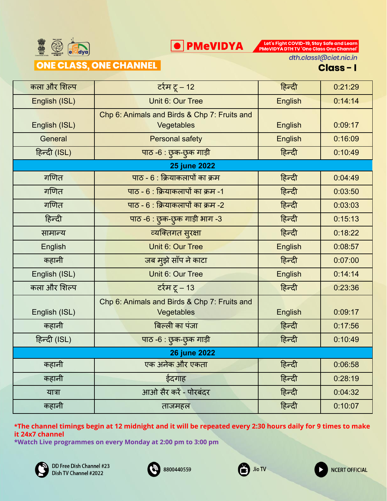

Let's Fight COVID-19, Stay Safe and Learn<br>PMeVIDYA DTH TV 'One Class One Channel'

#### ONE CLASS, ONE CHANNEL

dth.class1@ciet.nic.in

Class-I

| कला और शिल्प        | <u>र्टरम टू – 12</u>                                       | हिन्दी         | 0:21:29 |
|---------------------|------------------------------------------------------------|----------------|---------|
| English (ISL)       | Unit 6: Our Tree                                           | <b>English</b> | 0:14:14 |
| English (ISL)       | Chp 6: Animals and Birds & Chp 7: Fruits and<br>Vegetables | <b>English</b> | 0:09:17 |
| General             | <b>Personal safety</b>                                     | English        | 0:16:09 |
| हिन्दी (ISL)        | पाठ -6 : छुक-छुक गाड़ी                                     | हिन्दी         | 0:10:49 |
|                     | <b>25 june 2022</b>                                        |                |         |
| गणित                | पाठ - 6 : क्रियाकलापों का क्रम                             | हिन्दी         | 0:04:49 |
| गणित                | पाठ - 6 : क्रियाकलापों का क्रम -1                          | हिन्दी         | 0:03:50 |
| गणित                | पाठ - 6 : क्रियाकलापों का क्रम -2                          | हिन्दी         | 0:03:03 |
| हिन्दी              | पाठ -6 : छुक-छुक गाड़ी भाग -3                              | हिन्दी         | 0:15:13 |
| सामान्य             | व्यक्तिगत सुरक्षा                                          | हिन्दी         | 0:18:22 |
| English             | Unit 6: Our Tree                                           | English        | 0:08:57 |
| कहानी               | जब मुझे साँप ने काटा                                       | हिन्दी         | 0:07:00 |
| English (ISL)       | Unit 6: Our Tree                                           | <b>English</b> | 0:14:14 |
| कला और शिल्प        | र्टरम टू – 13                                              | हिन्दी         | 0:23:36 |
| English (ISL)       | Chp 6: Animals and Birds & Chp 7: Fruits and<br>Vegetables | <b>English</b> | 0:09:17 |
| कहानी               | बिल्ली का पंजा                                             | हिन्दी         | 0:17:56 |
| हिन्दी (ISL)        | पाठ -6 : छुक-छुक गाड़ी                                     | हिन्दी         | 0:10:49 |
| <b>26 june 2022</b> |                                                            |                |         |
| कहानी               | एक अनेक और एकता                                            | हिन्दी         | 0:06:58 |
| कहानी               | ईदगाह                                                      | हिन्दी         | 0:28:19 |
| यात्रा              | आओ सैर करें - पोरबंदर                                      | हिन्दी         | 0:04:32 |
| कहानी               | ताजमहल                                                     | हिन्दी         | 0:10:07 |

**\*The channel timings begin at 12 midnight and it will be repeated every 2:30 hours daily for 9 times to make it 24x7 channel**







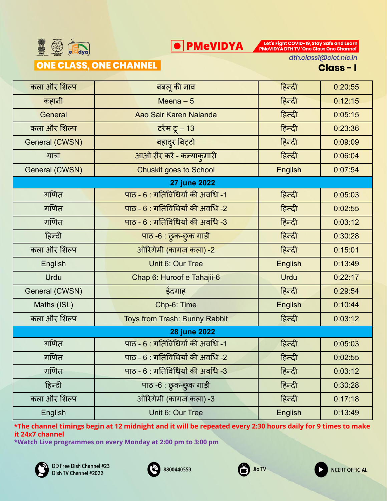

#### ONE CLASS, ONE CHANNEL

Let's Fight COVID-19, Stay Safe and Learn<br>PMeVIDYA DTH TV 'One Class One Channel'

dth.class1@ciet.nic.in

Class-I

| कला और शिल्प   | बबलू की नाव                     | हिन्दी         | 0:20:55 |
|----------------|---------------------------------|----------------|---------|
| कहानी          | Meena $-5$                      | हिन्दी         | 0:12:15 |
| General        | Aao Sair Karen Nalanda          | हिन्दी         | 0:05:15 |
| कला और शिल्प   | <u>र्टरम टू – 13</u>            | हिन्दी         | 0:23:36 |
| General (CWSN) | बहादुर बिट्टो                   | हिन्दी         | 0:09:09 |
| यात्रा         | आओ सैर करें - कन्याकुमारी       | हिन्दी         | 0:06:04 |
| General (CWSN) | <b>Chuskit goes to School</b>   | <b>English</b> | 0:07:54 |
|                | 27 june 2022                    |                |         |
| गणित           | पाठ - 6 : गतिविधियों की अवधि -1 | हिन्दी         | 0:05:03 |
| गणित           | पाठ - 6 : गतिविधियों की अवधि -2 | हिन्दी         | 0:02:55 |
| गणित           | पाठ - 6 : गतिविधियों की अवधि -3 | हिन्दी         | 0:03:12 |
| हिन्दी         | पाठ -6 : छुक-छुक गाड़ी          | हिन्दी         | 0:30:28 |
| कला और शिल्प   | ओरिगेमी (कागज़ कला) -2          | हिन्दी         | 0:15:01 |
| English        | Unit 6: Our Tree                | <b>English</b> | 0:13:49 |
| Urdu           | Chap 6: Huroof e Tahajii-6      | <b>Urdu</b>    | 0:22:17 |
| General (CWSN) | ईदगाह                           | हिन्दी         | 0:29:54 |
| Maths (ISL)    | Chp-6: Time                     | <b>English</b> | 0:10:44 |
| कला और शिल्प   | Toys from Trash: Bunny Rabbit   | हिन्दी         | 0:03:12 |
| 28 june 2022   |                                 |                |         |
| गणित           | पाठ - 6 : गतिविधियों की अवधि -1 | हिन्दी         | 0:05:03 |
| गणित           | पाठ - 6 : गतिविधियों की अवधि -2 | हिन्दी         | 0:02:55 |
| गणित           | पाठ - 6 : गतिविधियों की अवधि -3 | हिन्दी         | 0:03:12 |
| हिन्दी         | पाठ -6 : छुक-छुक गाड़ी          | हिन्दी         | 0:30:28 |
| कला और शिल्प   | ओरिगेमी (कागज़ कला) -3          | हिन्दी         | 0:17:18 |
| English        | Unit 6: Our Tree                | English        | 0:13:49 |

**O** PMeVIDYA

**\*The channel timings begin at 12 midnight and it will be repeated every 2:30 hours daily for 9 times to make it 24x7 channel**







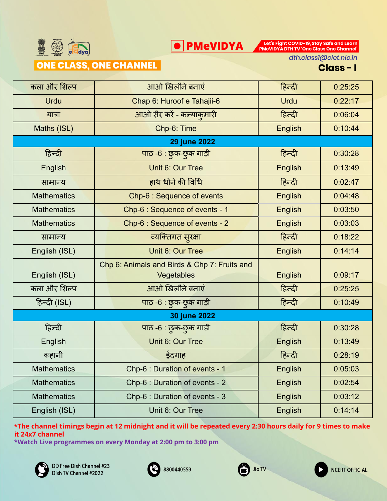

Let's Fight COVID-19, Stay Safe and Learn<br>PMeVIDYA DTH TV 'One Class One Channel'

### ONE CLASS, ONE CHANNEL

dth.class1@ciet.nic.in

Class-I

| कला और शिल्प       | आओ खिलौने बनाएं                              | हिन्दी         | 0:25:25 |
|--------------------|----------------------------------------------|----------------|---------|
| <b>Urdu</b>        | Chap 6: Huroof e Tahajii-6                   | <b>Urdu</b>    | 0:22:17 |
| यात्रा             | आओ सैर करें - कन्याकुमारी                    | हिन्दी         | 0:06:04 |
| Maths (ISL)        | Chp-6: Time                                  | English        | 0:10:44 |
|                    | <b>29 june 2022</b>                          |                |         |
| हिन्दी             | पाठ -6 : छुक-छुक गाड़ी                       | हिन्दी         | 0:30:28 |
| <b>English</b>     | Unit 6: Our Tree                             | <b>English</b> | 0:13:49 |
| सामान्य            | हाथ धोने की विधि                             | हिन्दी         | 0:02:47 |
| <b>Mathematics</b> | Chp-6 : Sequence of events                   | English        | 0:04:48 |
| <b>Mathematics</b> | Chp-6 : Sequence of events - 1               | <b>English</b> | 0:03:50 |
| <b>Mathematics</b> | Chp-6 : Sequence of events - 2               | <b>English</b> | 0:03:03 |
| सामान्य            | व्यक्तिगत सुरक्षा                            | हिन्दी         | 0:18:22 |
| English (ISL)      | Unit 6: Our Tree                             | <b>English</b> | 0:14:14 |
|                    | Chp 6: Animals and Birds & Chp 7: Fruits and |                |         |
| English (ISL)      | Vegetables                                   | <b>English</b> | 0:09:17 |
| कला और शिल्प       | आओ खिलौने बनाएं                              | हिन्दी         | 0:25:25 |
| हिन्दी (ISL)       | पाठ -6 : छुक-छुक गाड़ी                       | हिन्दी         | 0:10:49 |
|                    | 30 june 2022                                 |                |         |
| हिन्दी             | पाठ -6 : छुक-छुक गाड़ी                       | हिन्दी         | 0:30:28 |
| English            | Unit 6: Our Tree                             | <b>English</b> | 0:13:49 |
| कहानी              | ईदगाह                                        | हिन्दी         | 0:28:19 |
| <b>Mathematics</b> | Chp-6 : Duration of events - 1               | English        | 0:05:03 |
| <b>Mathematics</b> | Chp-6 : Duration of events - 2               | English        | 0:02:54 |
| <b>Mathematics</b> | Chp-6 : Duration of events - 3               | English        | 0:03:12 |
| English (ISL)      | Unit 6: Our Tree                             | English        | 0:14:14 |

**\*The channel timings begin at 12 midnight and it will be repeated every 2:30 hours daily for 9 times to make it 24x7 channel**